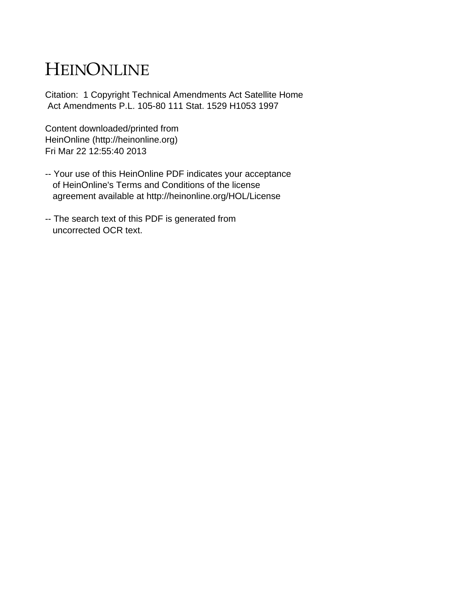# HEINONLINE

Citation: 1 Copyright Technical Amendments Act Satellite Home Act Amendments P.L. 105-80 111 Stat. 1529 H1053 1997

Content downloaded/printed from HeinOnline (http://heinonline.org) Fri Mar 22 12:55:40 2013

- -- Your use of this HeinOnline PDF indicates your acceptance of HeinOnline's Terms and Conditions of the license agreement available at http://heinonline.org/HOL/License
- -- The search text of this PDF is generated from uncorrected OCR text.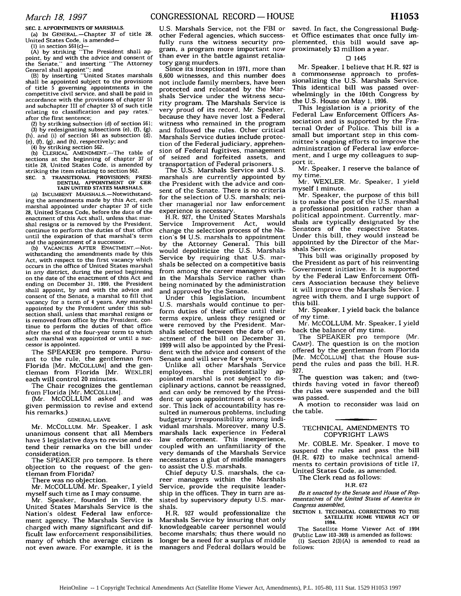**SEC.** 2. APPOINTMENTS OF MARSHALS.

(a) **IN** GENERAL-Chapter 37 of title **28,** United States Code, is amended-

**(1)** in section 561(c)- (A) by striking "The President shall **ap**point, **by** and with the advice and consent of the Senate," and inserting "The Attorney

General shall appoint"; and (B) **by** inserting "United States marshals shall be appointed subject to the provisions of title 5 governing appointments in the competitive civil service, and shall be paid in accordance with the provisions of chapter 51 and subchapter III of chapter 53 of such title relating to classification and pay rates." after the first sentence;

(2) by striking subsection (d) of section 561; (3) by redesignating subsections (e), **(f).** (g). (h), and (i) of section 561 as subsection (d), (e). **(f),** (g). and (h), respectively; and

(4) by striking section 562. (b) CLERICAL AMENDMENT.-The table of sections at the beginning of chapter **37** of title 28, United States Code, is amended **by** striking the item relating to section 562.

SEC. 3. TRANSITIONAL PROVISIONS; PRESI-**DENTIAL** APPOINTMENT OF CER-TAIN UNITED STATES MARSHALS.

(a) INCUMBENT MARSHALS.-Notwithstanding the amendments made **by** this Act, each marshal appointed under chapter **37** of title 28, United States Code, before the date of the enactment of this Act shall, unless that marshal resigns or is removed **by** the President, continue to perform the duties of that office until the expiration of that marshal's term and the appointment of a successor.

**(b)** VACANCIES AFTER ENACTMENT.-Notwithstanding the amendments made by this Act, with respect to the first vacancy which occurs in the office of United States marshal in any district, during the period beginning on the date of the enactment of this Act and ending on December 31, **1999,** the President shall appoint, by and with the advice and consent of the Senate. a marshal to fill that vacancy for a term of 4 years. Any marshal appointed by the President under this sub-<br>section shall, unless that marshal resigns or is removed from office by the President, continue to perform the duties of that office after the end of the four-year term to which such marshal was appointed or until a successor is appointed.

The SPEAKER pro tempore. Pursuant to the rule, the gentleman from Florida [Mr. MCCOLLUM] and the gentleman from Florida [Mr. WEXLER] each will control 20 minutes.

The Chair recognizes the gentleman from Florida [Mr. MCCOLLUM].

(Mr. MCCOLLUM asked and was given permission to revise and extend his remarks.)

**GENERAL LEAVE**

Mr. MCCOLLUM. Mr. Speaker, I ask unanimous consent that all Members have 5 legislative days to revise and extend their remarks on the bill under consideration.

The SPEAKER pro tempore. Is there objection to the request of the gentleman from Florida?

There was no objection.

Mr. MCCOLLUM. Mr. Speaker, I yield

myself such time as I may consume. Mr. Speaker, founded in **1789,** the United States Marshals Service is the Nation's oldest Federal law enforcement agency. The Marshals Service is charged with many significant and difficult law enforcement responsibilities, many of which the average citizen is not even aware. For example, it is the

**U.S.** Marshals Service, not the FBI or other Federal agencies, which successfully runs the witness security program, a program more important now than ever in the battle against retaliatory gang murders.

Since its inception in 1971, more than 6,600 witnesses, and this number does not include family members, have been protected and relocated by the Marshals Service under the witness security program. The Marshals Service is very proud of its record, Mr. Speaker, because they have never lost a Federal witness who remained in the program and followed the rules. Other critical Marshals Service duties include protection of the Federal judiciary, apprehension of Federal fugitives, management of seized and forfeited assets, and transportation of Federal prisoners.

The U.S. Marshals Service and U.S. marshals are currently appointed by the President with the advice and consent of the Senate. There is no criteria for the selection of U.S. marshals; neither managerial nor law enforcement experience is necessary.

H.R. **927,** the United States Marshals Service Improvement Act, change the selection process of the Nation's 94 U.S. marshals to appointment by the Attorney General. This bill would depoliticize the U.S. Marshals Service by requiring that U.S. marshals be selected on a competitive basis from among the career managers within the Marshals Service rather than being nominated by the administration and approved by the Senate.

Under this legislation, incumbent **U.S.** marshals would continue to perform duties of their office until their terms expire, unless they resigned or were removed by the President. Marshals selected between the date of enactment of the bill on December 31, 1999 will also be appointed by the President with the advice and consent of the Senate and will serve for 4 years.

Unlike all other Marshals Service employees, the presidentially **ap**pointed marshal is not subject to disciplinary actions, cannot be reassigned, and can only be removed by the President or upon appointment of a successor. This lack of accountability has resulted in numerous problems, including budgetary irresponsibility among individual marshals. Moreover, many U.S. marshals lack experience in Federal law enforcement. This inexperience, coupled with an unfamiliarity of the very demands of the Marshals Service necessitates a glut of middle managers to assist the U.S. marshals.

Chief deputy U.S. marshals, the career managers within the Marshals Service, provide the requisite leadership in the offices. They in turn are assisted by supervisory deputy U.S. marshals.

H.R. **927** would professionalize the Marshals Service by insuring that only knowledgeable career personnel would become marshals; thus there would no longer be a need for a surplus of middle managers and Federal dollars would be

saved. In fact, the Congressional Budget Office estimates that once fully implemented, this bill would save approximately \$3 million a year.

## **0** 1445

**Mr.** Speaker, I believe that H.R. **927** is a commonsense approach to professionalizing the U.S. Marshals Service. This identical bill was passed overwhelmingly in the 104th Congress by the U.S. House on May 1, 1996.

This legislation is a priority of the Federal Law Enforcement Officers Association and is supported by the Fraternal Order of Police. This bill is a small but important step in this committee's ongoing efforts to improve the administration of Federal law enforcement, and I urge my colleagues to support it.

Mr. Speaker, I reserve the balance of my time.

Mr. WEXLER. Mr. Speaker, I yield myself **I** minute.

Mr. Speaker, the purpose of this bill is to make the post of the U.S. marshal a professional position rather than a political appointment. Currently, marshals are typically designated by the Senators of the respective States. Under this bill, they would instead be appointed by the Director of the Marshals Service.

This bill was originally proposed by the President as part of his reinventing Government initiative. It is supported by the Federal Law Enforcement Officers Association because they believe it will improve the Marshals Service. I agree with them, and I urge support of this bill.

Mr. Speaker, I yield back the balance of my time.

Mr. MCCOLLUM. Mr. Speaker, I yield back the balance of my time.

The SPEAKER pro tempore (Mr. CAMP). The question is on the motion offered by the gentleman from Florida [Mr. MCCOLLUM] that the House suspend the rules and pass the bill, H.R. 927.

The question was taken; and (twothirds having voted in favor thereof) the rules were suspended and the bill was passed.

A motion to reconsider was laid on the table.

## TECHNICAL AMENDMENTS TO COPYRIGHT LAWS

Mr. COBLE. Mr. Speaker, I move to suspend the rules and pass the bill (H.R. 672) to make technical amendments to certain provisions of title **17,** United States Code, as amended.

The Clerk read as follows:

### H.R. 672

*Be it enacted by the Senate and House of Representatives of the United States of America in Congress assembled.*

SECTION **1. TECHNICAL** CORRECTIONS TO **THE SATELLITE** HOME VIEWER ACT OF 1994.

The Satellite Home Viewer Act of 1994 (Public Law 103-369) is amended as follows: (1) Section  $2(3)(A)$  is amended to read as follows: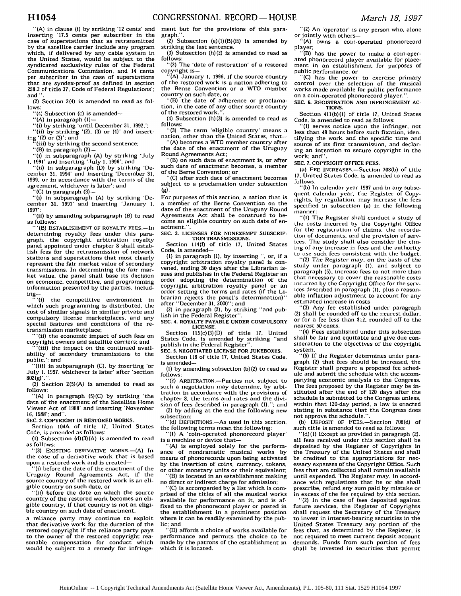CONGRESSIONAL RECORD- **HOUSE** *March 18, 1997*

**-(A)** in clause (i) by striking '12 cents' and inserting *'17.5* cents per subscriber in the case of superstations that as retransmitted by the satellite carrier include any program which, if delivered by any cable system in the United States. would be subject to the syndicated exclusivity rules of the Federal Communications Commission, and 14 cents per subscriber in the case of superstations that are syndex-proof as defined in section **258.2** of title **37,** Code of Federal Regulations': and **".**

(2) Section 2(4) is amended to read as follows:

"(4) Subsection (c) is amended--

"(A) in paragraph **(I)-**

**(i)** by striking 'until December **31,** 1992,';

"(ii) by striking '(2), **(3)** or (4)' and inserting '(2) or **(3)';** and

(iii) by striking the second sentence;

"(B) in paragraph (2)-

**(i)** in subparagraph **(A)** by striking 'July **1.** 1991' and inserting 'July **1,** 1996'; and

"(ii) in subparagraph (D) **by** striking 'De-cember 31, 1994' and inserting 'December 31, 1999, or in accordance with the terms of the agreement, whichever is later'; and

'(C) in paragraph (3)-

"(i) in subparagraph (A) by striking 'December 31, 1991' and inserting 'January **1,** 1997';

'(ii) by amending subparagraph (B) to read as follows: "'(B) ESTABLISHMENT OF ROYALTY FEES.-In

determining royalty fees under this paragraph, the copyright arbitration royalty panel appointed under chapter 8 shall establish fees for the retransmission of network stations and superstations that most clearly represent the fair market value of secondary transmissions. In determining the fair market value, the panel shall base its decision on economic, competitive, and programming information presented **by** the parties, includ $ing--$ <br> $(1)$ 

the competitive environment in which such programming is distributed, the cost of similar signals in similar private and compulsory license marketplaces, and any special features and conditions of the retransmission marketplace;

"'(ii) the economic impact of such fees on copyright owners and satellite carriers; and

 $'(iii)$  the impact on the continued availability of secondary transmissions to the public.'; and

"(iii) in subparagraph (C), by inserting 'or July 1, 1997, whichever is later' after 'section

802(g)'.". (3) Section 2(5)(A) is amended to read as follows:

"(A) in paragraph (5)(C) by striking 'the date of the enactment of the Satellite Home Viewer Act of 1988' and inserting 'November 16, 1988'; and".

**SEC. 2.** COPYRIGHT **IN RESTORED WORKS.**

Section 104A of title **17,** United States Code, is amended as follows:

**(1)** Subsection **(d)(3)(A)** is amended to read as follows:

"(3) EXISTING DERIVATIVE WORKS.-(A) In the case of a derivative work that is based upon a restored work and is created-

"(i) before the date of the enactment of the Uruguay Round Agreements Act, if the source country of the restored work is an eligible country on such date, or

"(ii) before the date on which the source country of the restored work becomes an eligible country, if that country is not an eligible country on such date of enactment,

a reliance party may continue to exploit that derivative work for the duration of the restored copyright if the reliance party pays to the owner of the restored copyright reasonable compensation for conduct which would be subject to a remedy for infringe-

ment but for the provisions of this paragraph.

(2) Subsection  $(e)(1)(B)(ii)$  is amended by striking the last sentence.

(3) Subsection  $(h)(2)$  is amended to read as follows:

"(2) The 'date of restoration' of a restored copyright is-

"(A) January **1,** 1996, if the source country of the restored work is a nation adhering to the Berne Convention or a WTO member country on such date, or

"(B) the date of adherence or proclamation, in the case of any other source country of the restored work."

(4) Subsection (h)(3) is amended to read as follows:

"(3) The term 'eligible country' means a nation, other than the United States, that-

"(A) becomes a WTO member country after the date of the enactment of the Uruguay Round Agreements Act;

"(B) on such date of enactment is, or after such date of enactment becomes, a member of the Berne Convention; or

"(C) after such date of enactment becomes subject to a proclamation under subsection **(9).**

For purposes of this section, a nation that is a member of the Berne Convention on the date of the enactment of the Uruguay Round Agreements Act shall be construed to become an eligible country on such date of enactment.

**SEC. 3. LICENSES** FOR **NONEXEMPT** SUBSCRIP-**TION TRANSMISSIONS.**

Section 114(f) of title **17.** United States Code, is amended-

**(1)** in paragraph **(1),** by inserting ", or, if a copyright arbitration royalty panel is convened, ending **30** days after the Librarian issues and publishes in the Federal Register an order adopting the determination of the copyright arbitration royalty panel or an order setting the terms and rates (if the Librarian rejects the panel's determination) after "December **31.** 2000"; and

(2) in paragraph (2), by striking "and pub-

lish in the Federal Register". **SEC. 4.** ROYALTY PAYABLE **UNDER** COMPULSORY

**LICENSE.** Section 115(c)(3)(D) of title **17,** United

States Code, is amended by striking "and publish in the Federal Register".

**SEC.** *5.* NEGOTIATED **LICENSE** FOR **JUKEBOXES.** Section 116 of title **17,** United States Code,

is amended- **(1)** by amending subsection (b)(2) to read as

follows:

(2) ARBITRATION.-Parties not subject to such a negotiation may determine, by arbitration in accordance with the provisions of chapter 8, the terms and rates and the division of fees described in paragraph (1).": and sion of fees described in paragraph (I).' (2) **by** adding at the end the following new

(d) DEFINITIONS.—As used in this section, the following terms mean the following:

"(1) A 'coin-operated phonorecord player' is a machine or device that-

"(A) is employed solely for the performance of nondramatic musical works **by** means of phonorecords upon being activated by the insertion of coins, currency, tokens, or other monetary units or their equivalent; "(B) is located in an establishment making

no direct or indirect charge for admission;

"(C) is accompanied by a list which is comprised of the titles of all the musical works available for performance on it. and is affixed to the phonorecord player or posted in the establishment in a prominent position where it can be readily examined **by** the public; and

"(D) affords a choice of works available for performance and permits the choice to be made **by** the patrons of the establishment in which it is located.

"(2) An 'operator' is any person who, alone orjointly with others-

"(A) owns a coin-operated phonorecord player;

"(B) has the power to make a coin-operated phonorecord player available for placement in an establishment for purposes of

 $P(C)$  has the power to exercise primary control over the selection of the musical works made available for public performance on a coin-operated phonorecord player.".

**SEC. 6.** REGISTRATION AND INFRINGEMENT AC-**TIONS.**

Section 411(b)(1) of title **17,** United States Code, is amended to read as follows:

"(1) serves notice upon the infringer, not less than 48 hours before such fixation, identifying the work and the specific time and source of its first transmission, and declaring an intention to secure copyright in the work; and".

**SEC. 7. COPYRIGHT OFFICE FEES.**

(a) **FEE** INCREASES.-Section 708(b) of title 17, United States Code, is amended to read as follows:

"(b) In calendar year 1997 and in any subsequent calendar year, the Register of Copyrights, by regulation, may increase the fees specified in subsection (a) in the following manner:

"(1) The Register shall conduct a study of the costs incurred by the Copyright Office for the registration of claims, the recordation of documents, and the provision of services. The study shall also consider the timing of any increase in fees and the authority to use such fees consistent with the budget.

"(2) The Register may, on the basis of the study under paragraph **(1).** and subject to paragraph (5). increase fees to not more than that necessary to cover the reasonable costs incurred by the Copyright Office for the services described in paragraph (1), plus a reasonable inflation adjustment to account for any estimated increase in costs.

**"(3)** Any fee established under paragraph (2) shall be rounded off to the nearest dollar, or for a fee less than \$12. rounded off to the *nearest 50 cents.*

"(4) Fees established under this subsection shall be fair and equitable and give due consideration to the objectives of the copyright

system. "(5) If the Register determines under paragraph (2) that fees should be increased, the Register shall prepare a proposed fee schedule and submit the schedule with the accompanying economic analysis to the Congress. The fees proposed **by** the Register may be instituted after the end of 120 days after the schedule is submitted to the Congress unless, within that 120-day period, a law is enacted stating in substance that the Congress does not approve the schedule.".

**(b)** DEPOSIT OF FEES.-Section 708(d) of such title is amended to read as follows:

"(d)(1) Except as provided in paragraph (2), all fees received under this section shall be deposited **by** the Register of Copyrights in the Treasury of the United States and shall be credited to the appropriations for necessary expenses of the Copyright Office. Such fees that are collected shall remain available until expended. The Register may, in accordance with regulations that he or she shall prescribe, refund any sum paid **by** mistake or in excess of the fee required **by** this section.

"(2) In the case of fees deposited against future services, the Register of Copyrights shall request the Secretary of the Treasury to invest in interest-bearing securities in the United States Treasury any portion of the fees that, as determined **by** the Register, is not required to meet current deposit account demands. Funds from such portion of fees shall be invested in securities that permit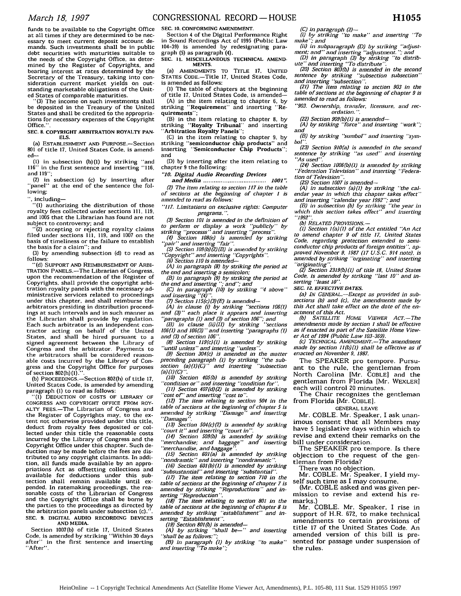funds to be available to the Copyright Office at all times if they are determined to be necessary to meet current deposit account demands. Such investments shall be in public debt securities with maturities suitable to the needs of the Copyright Office, as determined by the Register of Copyrights, and bearing interest at rates determined by the Secretary of the Treasury, taking into consideration current market yields on outstanding marketable obligations of the United States of comparable maturities.

**"(3)** The income on such investments shall be deposited in the Treasury of the United States and shall be credited to the appropriations for necessary expenses of the Copyright Office.".

#### **SEC. 8.** COPYRIGHT **ARBITRATION ROYALTY PAN-ELS.**

(a) ESTABLISHMENT **AND** PURPOSE.-Section **801 of** title 17. United States Code, is amended-

**(1)** in subsection **(b)(1)** by striking "and 116" in the first sentence and inserting "116, and 119";

(2) in subsection (c) by inserting after "panel" at the end **of** the sentence the following:

", including-

**"(1)** authorizing the distribution of those royalty fees collected under sections **11,** 119, and **1005** that the Librarian has found are not subject to controversy; and

"(2) accepting or rejecting royalty claims filed under sections Ill, 119, and **1007** on the basis of timeliness or the failure to establish the basis for a claim"; and

**(3)** by amending subsection **(d)** to read as follows:

"(d) SUPPORT AND REIMBURSEMENT OF ARBI-TRATION PANELS.-The Librarian of Congress, upon the recommendation of the Register of Copyrights, shall provide the copyright arbitration royalty panels with the necessary administrative services related to proceedings under this chapter, and shall reimburse the arbitrators presiding in distribution proceedings at such intervals and in such manner as the Librarian shall provide by regulation. Each such arbitrator is an independent contractor acting on behalf of the United States, and shall be hired pursuant to a signed agreement between the Library of Congress and the arbitrator. Payments to the arbitrators shall be considered reasonable costs incurred by the Library of Congress and the Copyright Office for purposes of section 802(h) (1).". **(b)** PROCEEDINGS.-Section 802(h) of title 17,

United States Code, is amended by amending paragraph (1) to read as follows:<br>"(1) DEDUCTION OF COSTS OF LIBRARY OF

CONGRESS AND COPYRIGHT OFFICE FROM ROY-ALTY FEES.-The Librarian of Congress and the Register of Copyrights may, to the extent not otherwise provided under this title, deduct from royalty fees deposited or collected under this title the reasonable costs incurred by the Library of Congress and the Copyright Office under this chapter. Such deduction may be made before the fees are distributed to any copyright claimants. In addition. all funds made available by an appropriations Act as offsetting collections and available for deductions under this subsection shall remain available until expended. In ratemaking proceedings, the rea-sonable costs of the Librarian of Congress and the Copyright Office shall be borne by the parties to the proceedings as directed by the arbitration panels under subsection (c). **SEC. 9.** DIGITAL AUDIO RECORDING **DEVICES AND** MEDIA.

Section 1007(b) of title **17,** United States Code, is amended by striking "Within **30** days after" in the first sentence and inserting "After".

Section 4 of the Digital Performance Right in Sound Recordings Act of 1995 (Public Law 104-39) is amended by redesignating paragraph (5) as paragraph (4).

**SEC. 11. MISCELLANEOUS** TECHNICAL **AMEND-MENTS.**

(a) AMENDMENTS To TITLE **17.** UNITED STATES CODE.-Title **17.** United States Code, is amended as follows:

**(1)** The table of chapters at the beginning of title **17,** United States Code, is amended-

**(A)** in the item relating to chapter 6. by striking "Requirement" and inserting "Requirements";

(B) in the item relating to chapter **8. by** striking "Royalty Tribunal" and inserting "Arbitration Royalty Panels":

**(C)** in the item relating to chapter **9,** by striking "semiconductor chip products" and inserting "Semiconductor Chip Products" and

**(D)** by inserting after the item relating to chapter 9 the following:

*"10. Digital Audio Recording Devices*

*and M edia* .................................... *1001". (2) The item relating to section 117 in the table of sections at the beginning of chapter <sup>1</sup>is amended to read as follows:*

*"117. Limitations on exclusive rights: Computer programs.* **".**

*(3) Section 101 is amended in the definition of*

to perform or display a work "publicly" by<br>striking "processs" and inserting "process".<br>(4) Section 108(e) is amended by striking<br>"pair" and inserting "fair".<br>(5) Section 109(b)(2)(B) is amended by striking

*"Copyright" and inserting "Copyrights. (6) Section 110 is amended-*

*(A) in paragraph (8) by striking the period at*

*the end and inserting a semicolon:*

*(B) in paragraph (9) by striking the period at the end and inserting* **";** *and"; and*

*(C) in paragraph (10) by striking "4 above" and inserting "(4)". (7) Section 115(c)(3)(E) is amended-*

*(A) in clause (i) by striking "sections 106(1) and (3)" each place it appears and inserting*

*"paragraphs (1) and (3) of section* **106";** *and (B) in clause (ii)(II) by striking "sections 106(1) and 106(3)* " *and inserting "paragraphs* **(1)** *and (3) of section 106".*

*(8) Section 119(c)(1) is amended by striking "until unless" and inserting "unless".*

*(9) Section 304(c) is amended in the matter preceding paragraph* **(1)** *by striking "the sub-section (a) (1) (C)" and inserting "subsection (a)* **(1)** *(C) ".*

*(10) Section 405(b) is amended by striking "condition or" and inserting "condition for".*

*(11) Section 407(d)(2) is amended by striking "cost of' and inserting "cost to".*

*(12) The item relating to section 504 in the table of sections at the beginning of chapter 5 is* amended by striking "Damage<sup>"</sup> *"Damages".*

*(13) Section 504(c)(2) is amended by striking 'court it" and inserting "court in".*

*(14) Section 509(b) is amended by striking merchandise; and baggage" "merchandise, and baggage".*

(15) Section 601(a) is amended by striking<br>"nondramtic" and inserting "nondramatic".<br>(16) Section 601(b)(1) is amended by striking<br>"subsustantial" and inserting "substantial".<br>(17) The item relating to section 710 in the

*table of sections at the beginning of chapter 7 is amended by striking "Reproductions" and in-serting "Reproduction".*

*(18) The item relating to section 801 in the table of sections at the beginning of chapter 8 is amended by striking "establishment" and in-serting "Establishment".*

*(19) Section 801(b) is amended- (A) by striking "shall be-" and inserting*

*"shall be as follows:"; (B) in paragraph (1) by striking "to make" and inserting "To make ";*

*(c) in paragraph (2)- (i) by striking "to make" and inserting "To*

*make"; and (ii) in subparagraph (D) by striking "adjust-ment; and" and inserting "adjustment.* "; *and (D) in paragraph (3) by striking "to distrib-*

*ute" and inserting "To distribute". (20) Section 803(b) is amended in the second*

*sentence by striking "subsection subsection" and inserting "subsection".*

*(21) The item relating to section 903 in the table of sections at the beginning of chapter <sup>9</sup>is amended to read as follows:*

*"903. Ownership, transfer, licensure, and recordation.* **".**

*(22) Section 909(b)(1) is amended-*

*(A) by striking "force" and inserting "work"; and*

*(B) by striking "sumbol" and inserting "symbol".*

*(23) Section 910(a) is amended in the second sentence by striking "as used" and inserting "As used".*

*(24) Section 1006(b)(1) is amended by striking "Federation Television" and inserting "Federation of Television".*

*(25) Section 1007 is amended-*

*(A) in subsection (a)(1) by striking "the calendar year in which this chapter takes effect"*

*and inserting "calendar year 1992"; and (B) in subsection (b) by striking "the year in which this section takes effect" and inserting "1992".*

*(b) RELATED PROVISIONS.* -

*(1) Section 1(a)(1) of the Act entitled "An Act to amend chapter 9 of title 17, United States Code, regarding protection extended to semiconductor chip products of foreign entities", approved November 9, 1987 (17 U.S.C. 914 note), is amended by striking "orginating" and inserting "'originating".*

*(2) Section 2319(b)(1) of title 18, United States Code, is amended by striking "last 10" and inserting "least 10".*

*SEC. 12, EFFECTIVE DATES.*

*(a) IN GENERAL.-Except as provided in sub-sections (b) and (c), the amendments made by this Act shall take effect on the date of the enactment of this Act.*

*(b) SATELLITE HOME VIEWER ACT.-The amendments made by section 1 shall be effective as if enacted as part of the Satellite Home Viewer Act of 1994 (Public Law 103-369).*

*(c)* TECHNICAL *AMENDMENT.-The amendment made by section ll(b)(l) shall be effective as if enacted on November 9, 1987.*

The SPEAKER pro tempore. Pursuant to the rule, the gentleman from North Carolina [Mr. COBLE] and the gentleman from Florida [Mr. WEXLER] each will control 20 minutes.

The Chair recognizes the gentleman from Florida [Mr. COBLE].

## GENERAL LEAVE

Mr. COBLE. Mr. Speaker, I ask unanimous consent that all Members may have 5 legislative days within which to revise and extend their remarks on the bill under consideration.

The SPEAKER pro tempore. Is there objection to the request of the gentleman from Florida?

There was no objection.

Mr. COBLE. Mr. Speaker, I yield myself such time as I may consume.

(Mr. COBLE asked and was given permission to revise and extend his remarks.)

Mr. COBLE. Mr. Speaker, I rise in support of H.R. 672, to make technical amendments to certain provisions of title 17 of the United States Code. An amended version of this bill is presented for passage under suspension of the rules.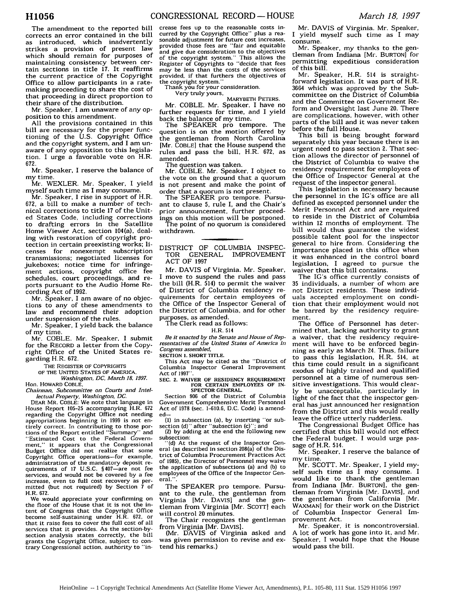Mr. Speaker, I am unaware of any opposition to this amendment.

All the provisions contained in this bill are necessary for the proper functioning of the U.S. Copyright Office and the copyright system, and I am unaware of any opposition to this legislation. I urge a favorable vote on H.R. 672.

Mr. Speaker, I reserve the balance of my time.

Mr. WEXLER. Mr. Speaker, I yield myself such time as I may consume.

Mr. Speaker, I rise in support of H.R. 672, a bill to make a number of technical corrections to title 17 of the United States Code, including corrections to drafting errors in the Satellite Home Viewer Act, section 104(a), dealing with restoration of copyright protection in certain preexisting works; licenses for nonexempt subscription transmissions; negotiated licenses for jukeboxes; notice time for infringement actions, copyright office fee schedules, court proceedings, and reports pursuant to the Audio Home Recording Act of 1992.

Mr. Speaker, I am aware of no objections to any of these amendments to law and recommend their adoption under suspension of the rules.

Mr. Speaker, I yield back the balance of my time.

Mr. COBLE. Mr. Speaker, I submit for the RECORD a letter from the Copyright Office of the United States regarding H.R. 672.

THE REGISTER OF COPYRIGHTS

OF THE UNITED **STATES** OF AMERICA, *Washington.* **DC,** *March* **18,** *1997.*

Hon. HOWARD COBLE,

*Chairman, Subcommittee on Courts and Intel-lectual Property, Washington, DC.* **DEAR** MR. COBLE: We note that language in House Report 105-25 accompanying H.R. 672 regarding the Copyright Office not needing appropriations beginning in 1999 is not entirely correct. In contributing to those portions of the Report entitled "Summary" and "Estimated Cost to the Federal Government." it appears that the Congressional Budget Office did not realize that some Copyright Office operations-for example, administration of the mandatory deposit requirements of **17** U.S.C. §407-are not fee services, and would not be covered by a fee increase, even to full cost recovery as permitted (but not required) by Section **7** of H.R. 672.

We would appreciate your confirming on the floor of the House that it is not the intent of Congress that the Copyright Office become self-sustaining under H.R. 672, or that it raise fees to cover the full cost of all services that it provides. As the section-bysection analysis states correctly, the bill grants the Copyright Office, subject to contrary Congressional action, authority to "in-

crease fees up to the reasonable costs incurred by the Copyright Office" plus a reasonable adjustment for future cost increases. provided those fees are "fair and equitable and give due consideration to the objectives of the copyright system." This allows the Register of Copyrights to "decide that fees may be less than the costs of the services provided, if that furthers the objectives of the copyright system."

Thank you for your consideration.

Very truly yours,

MARYBETH PETERS. Mr. COBLE. Mr. Speaker, I have no further requests for time, and I yield back the balance of my time.

The SPEAKER pro tempore. The question is on the motion offered by the gentleman from North Carolina [Mr. COBLE] that the House suspend the rules and pass the bill, H.R. 672, as amended.

The question was taken.

Mr. COBLE. Mr. Speaker, I object to the vote on the ground that a quorum is not present and make the point of order that a quorum is not present.

The SPEAKER pro tempore. Pursuant to clause **5,** rule I, and the Chair's prior announcement, further proceedings on this motion will be postponed. The point of no quorum is considered withdrawn.

## DISTRICT OF COLUMBIA INSPEC-TOR GENERAL IMPROVEMENT ACT OF 1997

Mr. DAVIS of Virginia. Mr. Speaker, I move to suspend the rules and pass the bill (H.R. 514) to permit the waiver of District of Columbia residency requirements for certain employees of the Office of the Inspector General of the District of Columbia, and for other purposes, as amended.

The Clerk read as follows:

H.R. 514

*Be it enacted by the Senate and House of Representatives of the United States of America in Congress assembled,*

SECTION **1.** SHORT TITLE.

This Act may be cited as the "District of Columbia Inspector General Improvement Act of **1997".**

**SEC. 2. WAIVER OF RESIDENCY REQUIREMENT** FOR CERTAIN EMPLOYEES OF IN-SPECTOR GENERAL.

Section **906** of the District of Columbia Government Comprehensive Merit Personnel Act of 1978 (sec. 1-610.6. D.C. Code) is amended-

**(1)** in subsection (a). by inserting "or subsection (d)" after "subsection (c)"; and (2) by adding at the end the following new

subsection:

(d) At the request of the Inspector General (as described in section 208(a) of the District of Columbia Procurement Practices Act of 1985), the Director of Personnel may waive the application of subsections (a) and (b) to employees of the Office of the Inspector General.".

The SPEAKER pro tempore. Pursuant to the rule, the gentleman from Virginia [Mr. DAVIS] and the gentleman from Virginia [Mr. SCOTT] each will control 20 minutes.

The Chair recognizes the gentleman from Virginia [Mr. DAVIS].

(Mr. DAVIS of Virginia asked and was given permission to revise and extend his remarks.)

Mr. DAVIS of Virginia. Mr. Speaker, I yield myself such time as I may consume.

Mr. Speaker, my thanks to the gentleman from Indiana [Mr. BURTON] for permitting expeditious consideration of this bill.

Mr. Speaker, H.R. 514 is straightforward legislation. It was part of H.R. 3664 which was approved by the Subcommittee on the District of Columbia and the Committee on Government Reform and Oversight last June 20. There are complications, however, with other parts of the bill and it was never taken before the full House.

This bill is being brought forward separately this year because there is an urgent need to pass section 2. That section allows the director of personnel of the District of Columbia to waive the residency requirement for employees of the Office of Inspector General at the request of the inspector general.

This legislation is necessary because the personnel in the IG's office are all defined as excepted personnel under the Merit Personnel Act and are required to reside in the District of Columbia within 12 months of employment. The bill would thus guarantee the widest possible talent pool for the inspector general to hire from. Considering the importance placed in this office when it was enhanced in the control board legislation, I agreed to pursue the waiver that this bill contains.

The IG's office currently consists of **<sup>35</sup>**individuals, a number of whom are not District residents. These individuals accepted employment on condition that their employment would not be barred by the residency requirement.

The Office of Personnel has determined that, lacking authority to grant a waiver, that the residency requirement will have to be enforced beginning as early as March 24. Thus, failure to pass this legislation, H.R. 514, at this time could result in a significant exodus of highly trained and qualified personnel at a time of numerous sensitive investigations. This would clearly be unacceptable, particularly in light of the fact that the inspector general has just announced her resignation from the District and this would really leave the office utterly rudderless.

The Congressional Budget Office has certified that this bill would not effect the Federal budget. I would urge passage of H.R. 514.

Mr. Speaker, I reserve the balance of my time.

Mr. SCOTT. Mr. Speaker, I yield myself such time as I may consume. I would like to thank the gentleman from Indiana [Mr. BURTON], the gentleman from Virginia [Mr. DAVIS], and the gentleman from California [Mr. WAXMAN] for their work on the District of Columbia Inspector General Improvement Act.

Mr. Speaker, it is noncontroversial. A lot of work has gone into it, and Mr. Speaker, I would hope that the House would pass the bill.